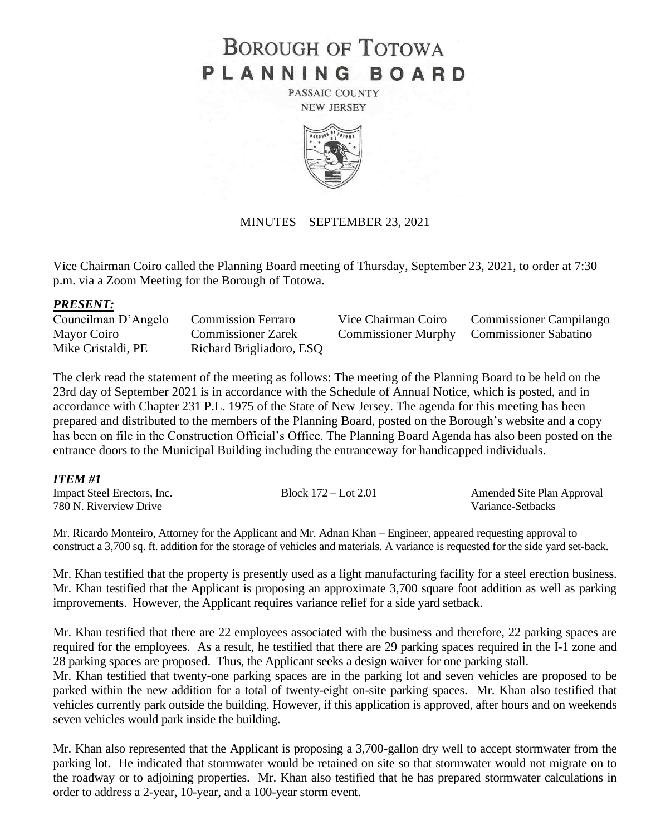# **BOROUGH OF TOTOWA** PLANNING BOARD

PASSAIC COUNTY **NEW JERSEY** 



#### MINUTES – SEPTEMBER 23, 2021

Vice Chairman Coiro called the Planning Board meeting of Thursday, September 23, 2021, to order at 7:30 p.m. via a Zoom Meeting for the Borough of Totowa.

#### *PRESENT:*

| Councilman D'Angelo | <b>Commission Ferraro</b> | Vice Chairman Coiro                       | <b>Commissioner Campilango</b> |
|---------------------|---------------------------|-------------------------------------------|--------------------------------|
| Mayor Coiro         | <b>Commissioner Zarek</b> | Commissioner Murphy Commissioner Sabatino |                                |
| Mike Cristaldi, PE  | Richard Brigliadoro, ESQ  |                                           |                                |

The clerk read the statement of the meeting as follows: The meeting of the Planning Board to be held on the 23rd day of September 2021 is in accordance with the Schedule of Annual Notice, which is posted, and in accordance with Chapter 231 P.L. 1975 of the State of New Jersey. The agenda for this meeting has been prepared and distributed to the members of the Planning Board, posted on the Borough's website and a copy has been on file in the Construction Official's Office. The Planning Board Agenda has also been posted on the entrance doors to the Municipal Building including the entranceway for handicapped individuals.

#### *ITEM #1*

| Impact Steel Erectors, Inc. | Block $172 -$ Lot $2.01$ | Amended Site Plan Approval |
|-----------------------------|--------------------------|----------------------------|
| 780 N. Riverview Drive      |                          | Variance-Setbacks          |

Mr. Ricardo Monteiro, Attorney for the Applicant and Mr. Adnan Khan – Engineer, appeared requesting approval to construct a 3,700 sq. ft. addition for the storage of vehicles and materials. A variance is requested for the side yard set-back.

Mr. Khan testified that the property is presently used as a light manufacturing facility for a steel erection business. Mr. Khan testified that the Applicant is proposing an approximate 3,700 square foot addition as well as parking improvements. However, the Applicant requires variance relief for a side yard setback.

Mr. Khan testified that there are 22 employees associated with the business and therefore, 22 parking spaces are required for the employees. As a result, he testified that there are 29 parking spaces required in the I-1 zone and 28 parking spaces are proposed. Thus, the Applicant seeks a design waiver for one parking stall.

Mr. Khan testified that twenty-one parking spaces are in the parking lot and seven vehicles are proposed to be parked within the new addition for a total of twenty-eight on-site parking spaces. Mr. Khan also testified that vehicles currently park outside the building. However, if this application is approved, after hours and on weekends seven vehicles would park inside the building.

Mr. Khan also represented that the Applicant is proposing a 3,700-gallon dry well to accept stormwater from the parking lot. He indicated that stormwater would be retained on site so that stormwater would not migrate on to the roadway or to adjoining properties. Mr. Khan also testified that he has prepared stormwater calculations in order to address a 2-year, 10-year, and a 100-year storm event.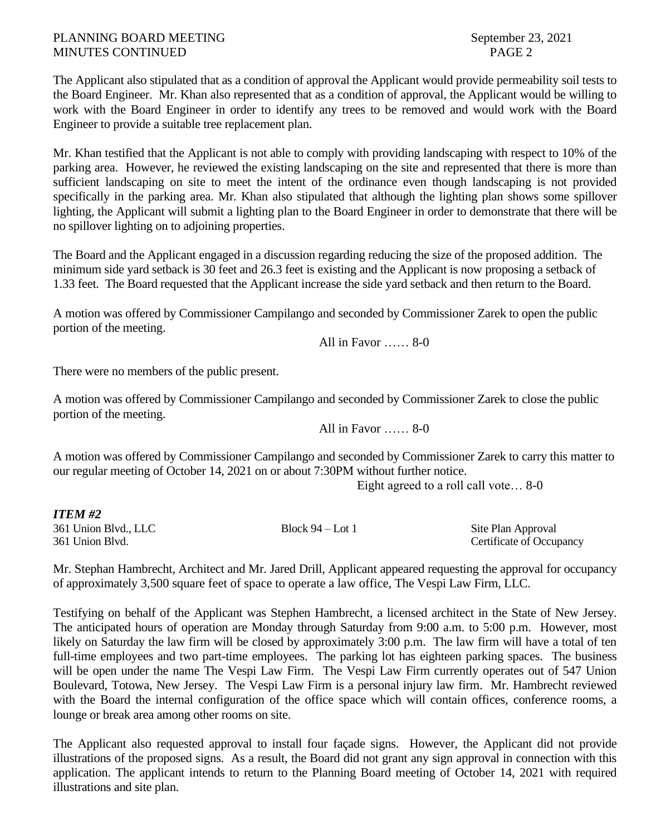## PLANNING BOARD MEETING September 23, 2021 MINUTES CONTINUED PAGE 2

The Applicant also stipulated that as a condition of approval the Applicant would provide permeability soil tests to the Board Engineer. Mr. Khan also represented that as a condition of approval, the Applicant would be willing to work with the Board Engineer in order to identify any trees to be removed and would work with the Board Engineer to provide a suitable tree replacement plan.

Mr. Khan testified that the Applicant is not able to comply with providing landscaping with respect to 10% of the parking area. However, he reviewed the existing landscaping on the site and represented that there is more than sufficient landscaping on site to meet the intent of the ordinance even though landscaping is not provided specifically in the parking area. Mr. Khan also stipulated that although the lighting plan shows some spillover lighting, the Applicant will submit a lighting plan to the Board Engineer in order to demonstrate that there will be no spillover lighting on to adjoining properties.

The Board and the Applicant engaged in a discussion regarding reducing the size of the proposed addition. The minimum side yard setback is 30 feet and 26.3 feet is existing and the Applicant is now proposing a setback of 1.33 feet. The Board requested that the Applicant increase the side yard setback and then return to the Board.

A motion was offered by Commissioner Campilango and seconded by Commissioner Zarek to open the public portion of the meeting.

All in Favor …… 8-0

There were no members of the public present.

A motion was offered by Commissioner Campilango and seconded by Commissioner Zarek to close the public portion of the meeting.

All in Favor …… 8-0

A motion was offered by Commissioner Campilango and seconded by Commissioner Zarek to carry this matter to our regular meeting of October 14, 2021 on or about 7:30PM without further notice.

Eight agreed to a roll call vote… 8-0

#### *ITEM #2*

361 Union Blvd., LLC Block 94 – Lot 1 Site Plan Approval 361 Union Blvd. Certificate of Occupancy

Mr. Stephan Hambrecht, Architect and Mr. Jared Drill, Applicant appeared requesting the approval for occupancy of approximately 3,500 square feet of space to operate a law office, The Vespi Law Firm, LLC.

Testifying on behalf of the Applicant was Stephen Hambrecht, a licensed architect in the State of New Jersey. The anticipated hours of operation are Monday through Saturday from 9:00 a.m. to 5:00 p.m. However, most likely on Saturday the law firm will be closed by approximately 3:00 p.m. The law firm will have a total of ten full-time employees and two part-time employees. The parking lot has eighteen parking spaces. The business will be open under the name The Vespi Law Firm. The Vespi Law Firm currently operates out of 547 Union Boulevard, Totowa, New Jersey. The Vespi Law Firm is a personal injury law firm. Mr. Hambrecht reviewed with the Board the internal configuration of the office space which will contain offices, conference rooms, a lounge or break area among other rooms on site.

The Applicant also requested approval to install four façade signs. However, the Applicant did not provide illustrations of the proposed signs. As a result, the Board did not grant any sign approval in connection with this application. The applicant intends to return to the Planning Board meeting of October 14, 2021 with required illustrations and site plan.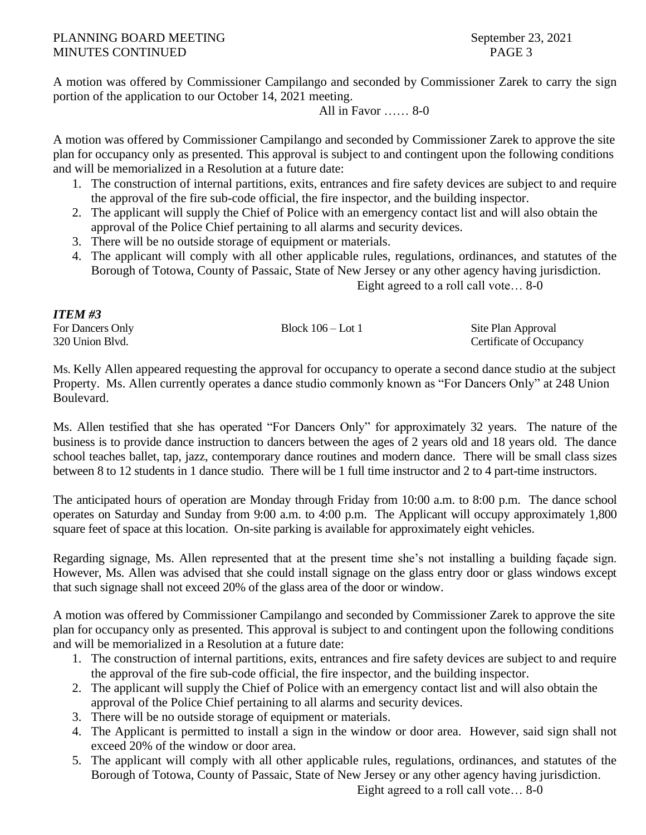## PLANNING BOARD MEETING September 23, 2021 MINUTES CONTINUED PAGE 3

A motion was offered by Commissioner Campilango and seconded by Commissioner Zarek to carry the sign portion of the application to our October 14, 2021 meeting.

All in Favor …… 8-0

A motion was offered by Commissioner Campilango and seconded by Commissioner Zarek to approve the site plan for occupancy only as presented. This approval is subject to and contingent upon the following conditions and will be memorialized in a Resolution at a future date:

- 1. The construction of internal partitions, exits, entrances and fire safety devices are subject to and require the approval of the fire sub-code official, the fire inspector, and the building inspector.
- 2. The applicant will supply the Chief of Police with an emergency contact list and will also obtain the approval of the Police Chief pertaining to all alarms and security devices.
- 3. There will be no outside storage of equipment or materials.
- 4. The applicant will comply with all other applicable rules, regulations, ordinances, and statutes of the Borough of Totowa, County of Passaic, State of New Jersey or any other agency having jurisdiction.

Eight agreed to a roll call vote… 8-0

| <b>ITEM#3</b>    |                     |                          |
|------------------|---------------------|--------------------------|
| For Dancers Only | Block $106 -$ Lot 1 | Site Plan Approval       |
| 320 Union Blvd.  |                     | Certificate of Occupancy |

Ms. Kelly Allen appeared requesting the approval for occupancy to operate a second dance studio at the subject Property. Ms. Allen currently operates a dance studio commonly known as "For Dancers Only" at 248 Union Boulevard.

Ms. Allen testified that she has operated "For Dancers Only" for approximately 32 years. The nature of the business is to provide dance instruction to dancers between the ages of 2 years old and 18 years old. The dance school teaches ballet, tap, jazz, contemporary dance routines and modern dance. There will be small class sizes between 8 to 12 students in 1 dance studio. There will be 1 full time instructor and 2 to 4 part-time instructors.

The anticipated hours of operation are Monday through Friday from 10:00 a.m. to 8:00 p.m. The dance school operates on Saturday and Sunday from 9:00 a.m. to 4:00 p.m. The Applicant will occupy approximately 1,800 square feet of space at this location. On-site parking is available for approximately eight vehicles.

Regarding signage, Ms. Allen represented that at the present time she's not installing a building façade sign. However, Ms. Allen was advised that she could install signage on the glass entry door or glass windows except that such signage shall not exceed 20% of the glass area of the door or window.

A motion was offered by Commissioner Campilango and seconded by Commissioner Zarek to approve the site plan for occupancy only as presented. This approval is subject to and contingent upon the following conditions and will be memorialized in a Resolution at a future date:

- 1. The construction of internal partitions, exits, entrances and fire safety devices are subject to and require the approval of the fire sub-code official, the fire inspector, and the building inspector.
- 2. The applicant will supply the Chief of Police with an emergency contact list and will also obtain the approval of the Police Chief pertaining to all alarms and security devices.
- 3. There will be no outside storage of equipment or materials.
- 4. The Applicant is permitted to install a sign in the window or door area. However, said sign shall not exceed 20% of the window or door area.
- 5. The applicant will comply with all other applicable rules, regulations, ordinances, and statutes of the Borough of Totowa, County of Passaic, State of New Jersey or any other agency having jurisdiction.

Eight agreed to a roll call vote… 8-0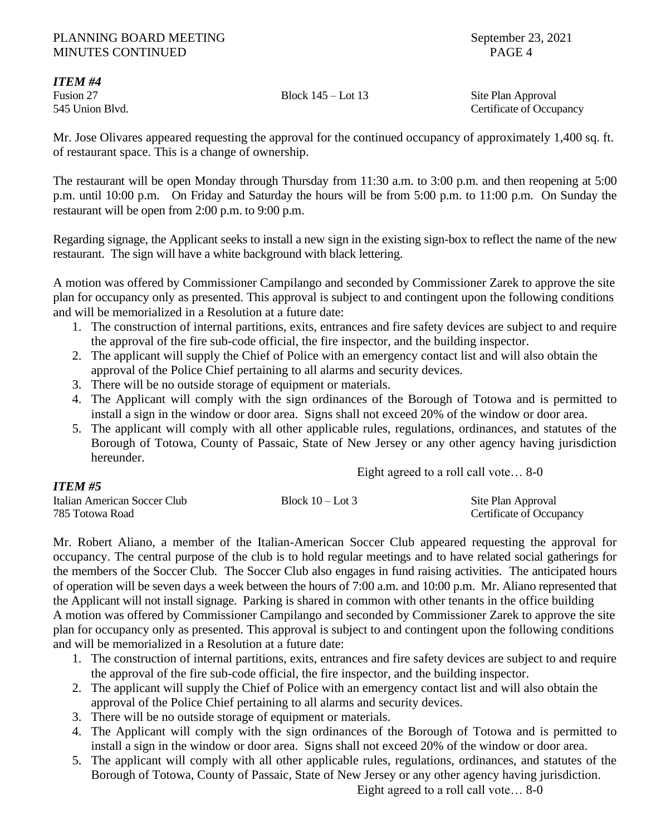### PLANNING BOARD MEETING September 23, 2021 MINUTES CONTINUED PAGE 4

*ITEM #4*

*ITEM #5*

## Fusion 27 Block 145 – Lot 13 Site Plan Approval

545 Union Blvd. Certificate of Occupancy

Mr. Jose Olivares appeared requesting the approval for the continued occupancy of approximately 1,400 sq. ft. of restaurant space. This is a change of ownership.

The restaurant will be open Monday through Thursday from 11:30 a.m. to 3:00 p.m. and then reopening at 5:00 p.m. until 10:00 p.m. On Friday and Saturday the hours will be from 5:00 p.m. to 11:00 p.m. On Sunday the restaurant will be open from 2:00 p.m. to 9:00 p.m.

Regarding signage, the Applicant seeks to install a new sign in the existing sign-box to reflect the name of the new restaurant. The sign will have a white background with black lettering.

A motion was offered by Commissioner Campilango and seconded by Commissioner Zarek to approve the site plan for occupancy only as presented. This approval is subject to and contingent upon the following conditions and will be memorialized in a Resolution at a future date:

- 1. The construction of internal partitions, exits, entrances and fire safety devices are subject to and require the approval of the fire sub-code official, the fire inspector, and the building inspector.
- 2. The applicant will supply the Chief of Police with an emergency contact list and will also obtain the approval of the Police Chief pertaining to all alarms and security devices.
- 3. There will be no outside storage of equipment or materials.
- 4. The Applicant will comply with the sign ordinances of the Borough of Totowa and is permitted to install a sign in the window or door area. Signs shall not exceed 20% of the window or door area.
- 5. The applicant will comply with all other applicable rules, regulations, ordinances, and statutes of the Borough of Totowa, County of Passaic, State of New Jersey or any other agency having jurisdiction hereunder.

Eight agreed to a roll call vote… 8-0

| _ _ _ _ _ _ _ _ _ _          |                    |                          |
|------------------------------|--------------------|--------------------------|
| Italian American Soccer Club | Block $10 -$ Lot 3 | Site Plan Approval       |
| 785 Totowa Road              |                    | Certificate of Occupancy |

Mr. Robert Aliano, a member of the Italian-American Soccer Club appeared requesting the approval for occupancy. The central purpose of the club is to hold regular meetings and to have related social gatherings for the members of the Soccer Club. The Soccer Club also engages in fund raising activities. The anticipated hours of operation will be seven days a week between the hours of 7:00 a.m. and 10:00 p.m. Mr. Aliano represented that the Applicant will not install signage. Parking is shared in common with other tenants in the office building A motion was offered by Commissioner Campilango and seconded by Commissioner Zarek to approve the site plan for occupancy only as presented. This approval is subject to and contingent upon the following conditions and will be memorialized in a Resolution at a future date:

- 1. The construction of internal partitions, exits, entrances and fire safety devices are subject to and require the approval of the fire sub-code official, the fire inspector, and the building inspector.
- 2. The applicant will supply the Chief of Police with an emergency contact list and will also obtain the approval of the Police Chief pertaining to all alarms and security devices.
- 3. There will be no outside storage of equipment or materials.
- 4. The Applicant will comply with the sign ordinances of the Borough of Totowa and is permitted to install a sign in the window or door area. Signs shall not exceed 20% of the window or door area.
- 5. The applicant will comply with all other applicable rules, regulations, ordinances, and statutes of the Borough of Totowa, County of Passaic, State of New Jersey or any other agency having jurisdiction.

Eight agreed to a roll call vote… 8-0